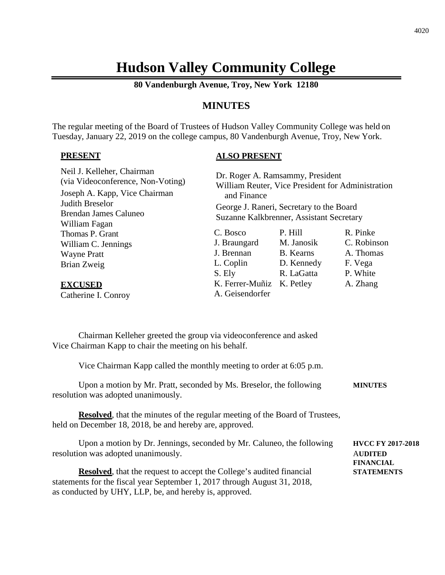# **Hudson Valley Community College**

**80 Vandenburgh Avenue, Troy, New York 12180**

# **MINUTES**

The regular meeting of the Board of Trustees of Hudson Valley Community College was held on Tuesday, January 22, 2019 on the college campus, 80 Vandenburgh Avenue, Troy, New York.

#### **PRESENT**

## **ALSO PRESENT**

| Neil J. Kelleher, Chairman<br>(via Videoconference, Non-Voting)<br>Joseph A. Kapp, Vice Chairman<br>Judith Breselor<br><b>Brendan James Caluneo</b><br>William Fagan | Dr. Roger A. Ramsammy, President<br>William Reuter, Vice President for Administration<br>and Finance<br>George J. Raneri, Secretary to the Board<br>Suzanne Kalkbrenner, Assistant Secretary |                  |             |
|----------------------------------------------------------------------------------------------------------------------------------------------------------------------|----------------------------------------------------------------------------------------------------------------------------------------------------------------------------------------------|------------------|-------------|
| Thomas P. Grant                                                                                                                                                      | C. Bosco                                                                                                                                                                                     | P. Hill          | R. Pinke    |
| William C. Jennings                                                                                                                                                  | J. Braungard                                                                                                                                                                                 | M. Janosik       | C. Robinson |
| <b>Wayne Pratt</b>                                                                                                                                                   | J. Brennan                                                                                                                                                                                   | <b>B.</b> Kearns | A. Thomas   |
| Brian Zweig                                                                                                                                                          | L. Coplin                                                                                                                                                                                    | D. Kennedy       | F. Vega     |
|                                                                                                                                                                      | S. Ely                                                                                                                                                                                       | R. LaGatta       | P. White    |
| <b>EXCUSED</b><br>Catherine I. Conroy                                                                                                                                | K. Ferrer-Muñiz<br>A. Geisendorfer                                                                                                                                                           | K. Petley        | A. Zhang    |

Chairman Kelleher greeted the group via videoconference and asked Vice Chairman Kapp to chair the meeting on his behalf.

Vice Chairman Kapp called the monthly meeting to order at 6:05 p.m.

| Upon a motion by Mr. Pratt, seconded by Ms. Breselor, the following | <b>MINUTES</b> |  |
|---------------------------------------------------------------------|----------------|--|
| resolution was adopted unanimously.                                 |                |  |

**Resolved**, that the minutes of the regular meeting of the Board of Trustees, held on December 18, 2018, be and hereby are, approved.

Upon a motion by Dr. Jennings, seconded by Mr. Caluneo, the following **HVCC FY 2017-2018** resolution was adopted unanimously. A**UDITED**

**Resolved**, that the request to accept the College's audited financial **STATEMENTS** statements for the fiscal year September 1, 2017 through August 31, 2018, as conducted by UHY, LLP, be, and hereby is, approved.

**FINANCIAL**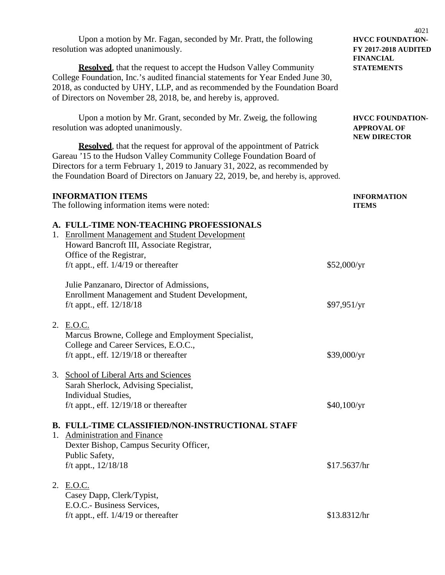|    | Upon a motion by Mr. Fagan, seconded by Mr. Pratt, the following<br>resolution was adopted unanimously.                                                                                                                                                                                                                       |              | 4021<br><b>HVCC FOUNDATION-</b><br><b>FY 2017-2018 AUDITED</b><br><b>FINANCIAL</b> |  |
|----|-------------------------------------------------------------------------------------------------------------------------------------------------------------------------------------------------------------------------------------------------------------------------------------------------------------------------------|--------------|------------------------------------------------------------------------------------|--|
|    | <b>Resolved</b> , that the request to accept the Hudson Valley Community<br>College Foundation, Inc.'s audited financial statements for Year Ended June 30,<br>2018, as conducted by UHY, LLP, and as recommended by the Foundation Board<br>of Directors on November 28, 2018, be, and hereby is, approved.                  |              | <b>STATEMENTS</b>                                                                  |  |
|    | Upon a motion by Mr. Grant, seconded by Mr. Zweig, the following<br>resolution was adopted unanimously.                                                                                                                                                                                                                       |              | <b>HVCC FOUNDATION-</b><br><b>APPROVAL OF</b><br><b>NEW DIRECTOR</b>               |  |
|    | <b>Resolved</b> , that the request for approval of the appointment of Patrick<br>Gareau '15 to the Hudson Valley Community College Foundation Board of<br>Directors for a term February 1, 2019 to January 31, 2022, as recommended by<br>the Foundation Board of Directors on January 22, 2019, be, and hereby is, approved. |              |                                                                                    |  |
|    | <b>INFORMATION ITEMS</b><br>The following information items were noted:                                                                                                                                                                                                                                                       |              | <b>INFORMATION</b><br><b>ITEMS</b>                                                 |  |
|    | A. FULL-TIME NON-TEACHING PROFESSIONALS<br>1. Enrollment Management and Student Development<br>Howard Bancroft III, Associate Registrar,<br>Office of the Registrar,<br>f/t appt., eff. $1/4/19$ or thereafter                                                                                                                | \$52,000/yr  |                                                                                    |  |
|    | Julie Panzanaro, Director of Admissions,<br>Enrollment Management and Student Development,<br>f/t appt., eff. $12/18/18$                                                                                                                                                                                                      | \$97,951/yr  |                                                                                    |  |
|    | 2. E.O.C.<br>Marcus Browne, College and Employment Specialist,<br>College and Career Services, E.O.C.,<br>f/t appt., eff. $12/19/18$ or thereafter                                                                                                                                                                            | \$39,000/yr  |                                                                                    |  |
|    | 3. School of Liberal Arts and Sciences<br>Sarah Sherlock, Advising Specialist,<br>Individual Studies,<br>f/t appt., eff. $12/19/18$ or thereafter                                                                                                                                                                             | \$40,100/yr  |                                                                                    |  |
| 1. | <b>B. FULL-TIME CLASSIFIED/NON-INSTRUCTIONAL STAFF</b><br><b>Administration and Finance</b><br>Dexter Bishop, Campus Security Officer,<br>Public Safety,<br>f/t appt., $12/18/18$                                                                                                                                             | \$17.5637/hr |                                                                                    |  |
|    | 2. E.O.C.<br>Casey Dapp, Clerk/Typist,<br>E.O.C.- Business Services,<br>f/t appt., eff. $1/4/19$ or thereafter                                                                                                                                                                                                                | \$13.8312/hr |                                                                                    |  |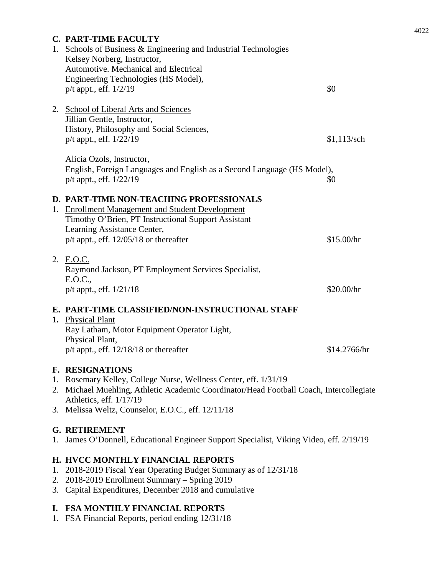|    | <b>C. PART-TIME FACULTY</b>                                                                             |               |
|----|---------------------------------------------------------------------------------------------------------|---------------|
|    | 1. Schools of Business & Engineering and Industrial Technologies                                        |               |
|    | Kelsey Norberg, Instructor,                                                                             |               |
|    | Automotive. Mechanical and Electrical                                                                   |               |
|    | Engineering Technologies (HS Model),                                                                    |               |
|    | p/t appt., eff. 1/2/19                                                                                  | \$0           |
|    | 2. School of Liberal Arts and Sciences                                                                  |               |
|    | Jillian Gentle, Instructor,                                                                             |               |
|    | History, Philosophy and Social Sciences,                                                                |               |
|    | p/t appt., eff. 1/22/19                                                                                 | $$1,113$ /sch |
|    |                                                                                                         |               |
|    | Alicia Ozols, Instructor,                                                                               |               |
|    | English, Foreign Languages and English as a Second Language (HS Model),                                 |               |
|    | $p/t$ appt., eff. $1/22/19$                                                                             | \$0           |
|    |                                                                                                         |               |
|    | D. PART-TIME NON-TEACHING PROFESSIONALS                                                                 |               |
|    | 1. Enrollment Management and Student Development<br>Timothy O'Brien, PT Instructional Support Assistant |               |
|    | Learning Assistance Center,                                                                             |               |
|    | $p/t$ appt., eff. 12/05/18 or thereafter                                                                | \$15.00/hr    |
|    |                                                                                                         |               |
|    | 2. E.O.C.                                                                                               |               |
|    | Raymond Jackson, PT Employment Services Specialist,                                                     |               |
|    | E.O.C.,                                                                                                 |               |
|    | $p/t$ appt., eff. $1/21/18$                                                                             | \$20.00/hr    |
|    | E. PART-TIME CLASSIFIED/NON-INSTRUCTIONAL STAFF                                                         |               |
|    | 1. Physical Plant                                                                                       |               |
|    | Ray Latham, Motor Equipment Operator Light,                                                             |               |
|    | Physical Plant,                                                                                         |               |
|    | $p/t$ appt., eff. 12/18/18 or thereafter                                                                | \$14.2766/hr  |
|    | <b>F. RESIGNATIONS</b>                                                                                  |               |
|    | 1. Rosemary Kelley, College Nurse, Wellness Center, eff. 1/31/19                                        |               |
|    | 2. Michael Muehling, Athletic Academic Coordinator/Head Football Coach, Intercollegiate                 |               |
|    | Athletics, eff. 1/17/19                                                                                 |               |
|    | 3. Melissa Weltz, Counselor, E.O.C., eff. 12/11/18                                                      |               |
|    |                                                                                                         |               |
|    | <b>G. RETIREMENT</b>                                                                                    |               |
| 1. | James O'Donnell, Educational Engineer Support Specialist, Viking Video, eff. 2/19/19                    |               |
|    | H. HVCC MONTHLY FINANCIAL REPORTS                                                                       |               |
| 1. | 2018-2019 Fiscal Year Operating Budget Summary as of 12/31/18                                           |               |

- 2. 2018-2019 Enrollment Summary Spring 2019
- 3. Capital Expenditures, December 2018 and cumulative

## **I. FSA MONTHLY FINANCIAL REPORTS**

1. FSA Financial Reports, period ending 12/31/18